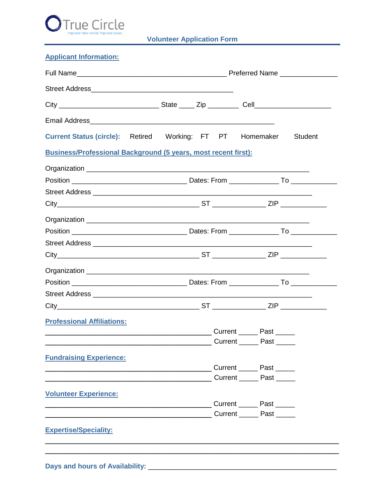

**Volunteer Application Form** 

## **Applicant Information:**

| Current Status (circle): Retired Working: FT PT Homemaker             |  |  |  |              | <b>Student</b> |  |  |
|-----------------------------------------------------------------------|--|--|--|--------------|----------------|--|--|
| <b>Business/Professional Background (5 years, most recent first):</b> |  |  |  |              |                |  |  |
|                                                                       |  |  |  |              |                |  |  |
|                                                                       |  |  |  |              |                |  |  |
|                                                                       |  |  |  |              |                |  |  |
|                                                                       |  |  |  |              |                |  |  |
|                                                                       |  |  |  |              |                |  |  |
|                                                                       |  |  |  |              |                |  |  |
|                                                                       |  |  |  |              |                |  |  |
|                                                                       |  |  |  |              |                |  |  |
|                                                                       |  |  |  |              |                |  |  |
|                                                                       |  |  |  |              |                |  |  |
|                                                                       |  |  |  |              |                |  |  |
|                                                                       |  |  |  |              |                |  |  |
| <b>Professional Affiliations:</b>                                     |  |  |  |              |                |  |  |
|                                                                       |  |  |  |              |                |  |  |
| <b>Fundraising Experience:</b>                                        |  |  |  |              |                |  |  |
|                                                                       |  |  |  | Current Past |                |  |  |
|                                                                       |  |  |  |              |                |  |  |
| <b>Volunteer Experience:</b>                                          |  |  |  |              |                |  |  |
|                                                                       |  |  |  |              |                |  |  |
|                                                                       |  |  |  |              |                |  |  |
| <b>Expertise/Speciality:</b>                                          |  |  |  |              |                |  |  |
|                                                                       |  |  |  |              |                |  |  |
|                                                                       |  |  |  |              |                |  |  |